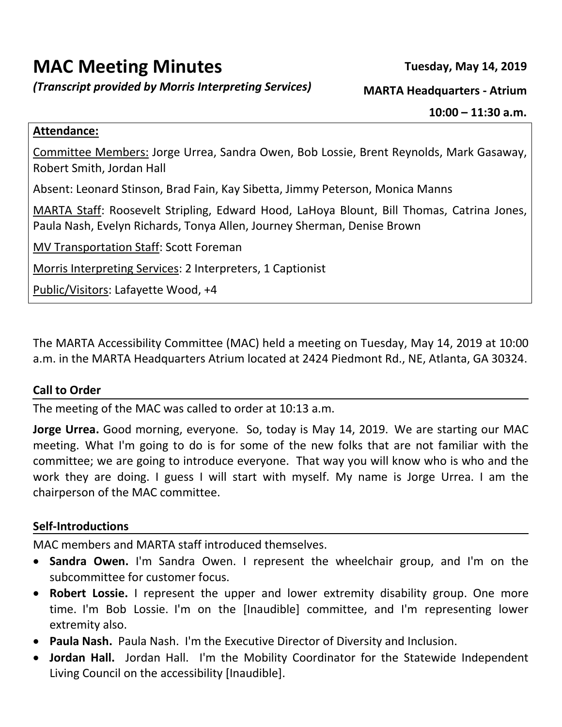# **MAC Meeting Minutes Tuesday, May 14, 2019**

*(Transcript provided by Morris Interpreting Services)* **MARTA Headquarters - Atrium**

#### **Attendance:**

Committee Members: Jorge Urrea, Sandra Owen, Bob Lossie, Brent Reynolds, Mark Gasaway, Robert Smith, Jordan Hall

Absent: Leonard Stinson, Brad Fain, Kay Sibetta, Jimmy Peterson, Monica Manns

MARTA Staff: Roosevelt Stripling, Edward Hood, LaHoya Blount, Bill Thomas, Catrina Jones, Paula Nash, Evelyn Richards, Tonya Allen, Journey Sherman, Denise Brown

MV Transportation Staff: Scott Foreman

Morris Interpreting Services: 2 Interpreters, 1 Captionist

Public/Visitors: Lafayette Wood, +4

The MARTA Accessibility Committee (MAC) held a meeting on Tuesday, May 14, 2019 at 10:00 a.m. in the MARTA Headquarters Atrium located at 2424 Piedmont Rd., NE, Atlanta, GA 30324.

#### **Call to Order**

The meeting of the MAC was called to order at 10:13 a.m.

**Jorge Urrea.** Good morning, everyone. So, today is May 14, 2019. We are starting our MAC meeting. What I'm going to do is for some of the new folks that are not familiar with the committee; we are going to introduce everyone. That way you will know who is who and the work they are doing. I guess I will start with myself. My name is Jorge Urrea. I am the chairperson of the MAC committee.

#### **Self-Introductions**

MAC members and MARTA staff introduced themselves.

- **Sandra Owen.** I'm Sandra Owen. I represent the wheelchair group, and I'm on the subcommittee for customer focus.
- **Robert Lossie.** I represent the upper and lower extremity disability group. One more time. I'm Bob Lossie. I'm on the [Inaudible] committee, and I'm representing lower extremity also.
- **Paula Nash.** Paula Nash. I'm the Executive Director of Diversity and Inclusion.
- **Jordan Hall.** Jordan Hall. I'm the Mobility Coordinator for the Statewide Independent Living Council on the accessibility [Inaudible].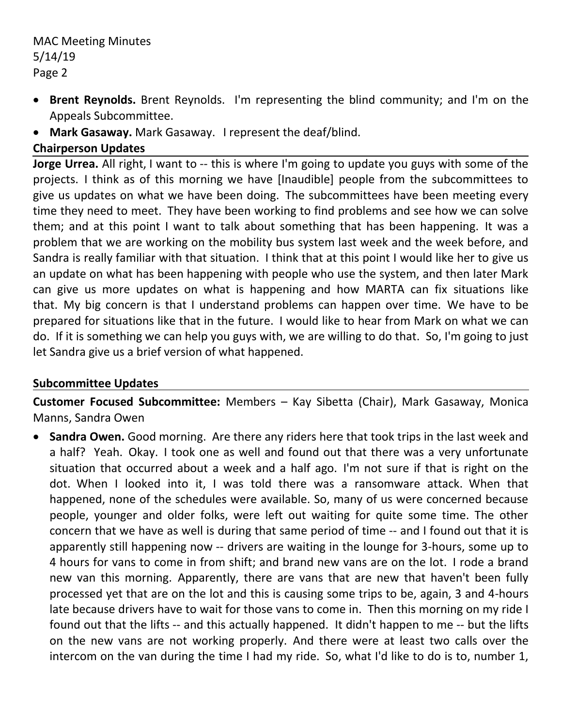- **Brent Reynolds.** Brent Reynolds. I'm representing the blind community; and I'm on the Appeals Subcommittee.
- **Mark Gasaway.** Mark Gasaway. I represent the deaf/blind.

## **Chairperson Updates**

**Jorge Urrea.** All right, I want to -- this is where I'm going to update you guys with some of the projects. I think as of this morning we have [Inaudible] people from the subcommittees to give us updates on what we have been doing. The subcommittees have been meeting every time they need to meet. They have been working to find problems and see how we can solve them; and at this point I want to talk about something that has been happening. It was a problem that we are working on the mobility bus system last week and the week before, and Sandra is really familiar with that situation. I think that at this point I would like her to give us an update on what has been happening with people who use the system, and then later Mark can give us more updates on what is happening and how MARTA can fix situations like that. My big concern is that I understand problems can happen over time. We have to be prepared for situations like that in the future. I would like to hear from Mark on what we can do. If it is something we can help you guys with, we are willing to do that. So, I'm going to just let Sandra give us a brief version of what happened.

## **Subcommittee Updates**

**Customer Focused Subcommittee:** Members – Kay Sibetta (Chair), Mark Gasaway, Monica Manns, Sandra Owen

 **Sandra Owen.** Good morning. Are there any riders here that took trips in the last week and a half? Yeah. Okay. I took one as well and found out that there was a very unfortunate situation that occurred about a week and a half ago. I'm not sure if that is right on the dot. When I looked into it, I was told there was a ransomware attack. When that happened, none of the schedules were available. So, many of us were concerned because people, younger and older folks, were left out waiting for quite some time. The other concern that we have as well is during that same period of time -- and I found out that it is apparently still happening now -- drivers are waiting in the lounge for 3-hours, some up to 4 hours for vans to come in from shift; and brand new vans are on the lot. I rode a brand new van this morning. Apparently, there are vans that are new that haven't been fully processed yet that are on the lot and this is causing some trips to be, again, 3 and 4-hours late because drivers have to wait for those vans to come in. Then this morning on my ride I found out that the lifts -- and this actually happened. It didn't happen to me -- but the lifts on the new vans are not working properly. And there were at least two calls over the intercom on the van during the time I had my ride. So, what I'd like to do is to, number 1,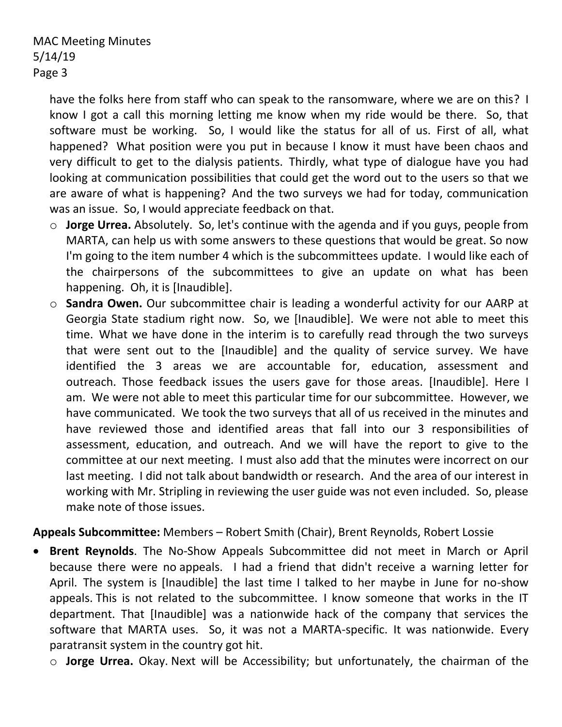have the folks here from staff who can speak to the ransomware, where we are on this? I know I got a call this morning letting me know when my ride would be there. So, that software must be working. So, I would like the status for all of us. First of all, what happened? What position were you put in because I know it must have been chaos and very difficult to get to the dialysis patients. Thirdly, what type of dialogue have you had looking at communication possibilities that could get the word out to the users so that we are aware of what is happening? And the two surveys we had for today, communication was an issue. So, I would appreciate feedback on that.

- o **Jorge Urrea.** Absolutely. So, let's continue with the agenda and if you guys, people from MARTA, can help us with some answers to these questions that would be great. So now I'm going to the item number 4 which is the subcommittees update. I would like each of the chairpersons of the subcommittees to give an update on what has been happening. Oh, it is [Inaudible].
- o **Sandra Owen.** Our subcommittee chair is leading a wonderful activity for our AARP at Georgia State stadium right now. So, we [Inaudible]. We were not able to meet this time. What we have done in the interim is to carefully read through the two surveys that were sent out to the [Inaudible] and the quality of service survey. We have identified the 3 areas we are accountable for, education, assessment and outreach. Those feedback issues the users gave for those areas. [Inaudible]. Here I am. We were not able to meet this particular time for our subcommittee. However, we have communicated. We took the two surveys that all of us received in the minutes and have reviewed those and identified areas that fall into our 3 responsibilities of assessment, education, and outreach. And we will have the report to give to the committee at our next meeting. I must also add that the minutes were incorrect on our last meeting. I did not talk about bandwidth or research. And the area of our interest in working with Mr. Stripling in reviewing the user guide was not even included. So, please make note of those issues.

## **Appeals Subcommittee:** Members – Robert Smith (Chair), Brent Reynolds, Robert Lossie

- **Brent Reynolds**. The No-Show Appeals Subcommittee did not meet in March or April because there were no appeals. I had a friend that didn't receive a warning letter for April. The system is [Inaudible] the last time I talked to her maybe in June for no-show appeals. This is not related to the subcommittee. I know someone that works in the IT department. That [Inaudible] was a nationwide hack of the company that services the software that MARTA uses. So, it was not a MARTA-specific. It was nationwide. Every paratransit system in the country got hit.
	- o **Jorge Urrea.** Okay. Next will be Accessibility; but unfortunately, the chairman of the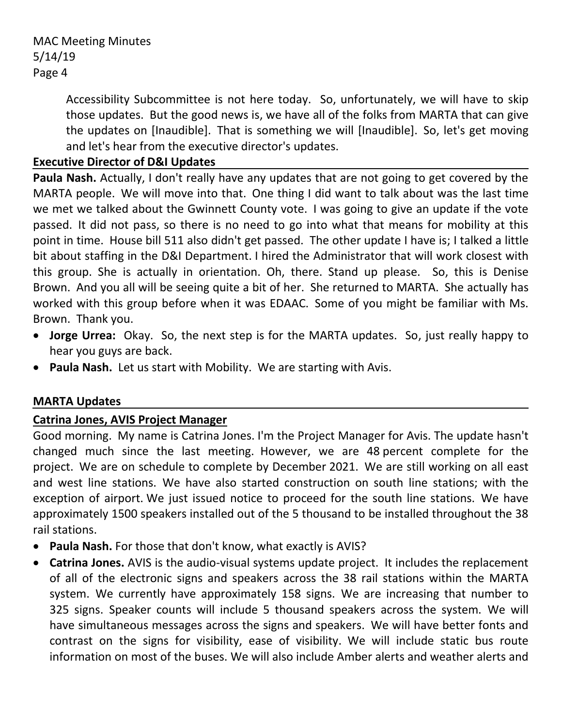> Accessibility Subcommittee is not here today. So, unfortunately, we will have to skip those updates. But the good news is, we have all of the folks from MARTA that can give the updates on [Inaudible]. That is something we will [Inaudible]. So, let's get moving and let's hear from the executive director's updates.

#### **Executive Director of D&I Updates**

**Paula Nash.** Actually, I don't really have any updates that are not going to get covered by the MARTA people. We will move into that. One thing I did want to talk about was the last time we met we talked about the Gwinnett County vote. I was going to give an update if the vote passed. It did not pass, so there is no need to go into what that means for mobility at this point in time. House bill 511 also didn't get passed. The other update I have is; I talked a little bit about staffing in the D&I Department. I hired the Administrator that will work closest with this group. She is actually in orientation. Oh, there. Stand up please. So, this is Denise Brown. And you all will be seeing quite a bit of her. She returned to MARTA. She actually has worked with this group before when it was EDAAC. Some of you might be familiar with Ms. Brown. Thank you.

- **Jorge Urrea:** Okay. So, the next step is for the MARTA updates. So, just really happy to hear you guys are back.
- **Paula Nash.** Let us start with Mobility. We are starting with Avis.

#### **MARTA Updates**

#### **Catrina Jones, AVIS Project Manager**

Good morning. My name is Catrina Jones. I'm the Project Manager for Avis. The update hasn't changed much since the last meeting. However, we are 48 percent complete for the project. We are on schedule to complete by December 2021. We are still working on all east and west line stations. We have also started construction on south line stations; with the exception of airport. We just issued notice to proceed for the south line stations. We have approximately 1500 speakers installed out of the 5 thousand to be installed throughout the 38 rail stations.

- **Paula Nash.** For those that don't know, what exactly is AVIS?
- **Catrina Jones.** AVIS is the audio-visual systems update project. It includes the replacement of all of the electronic signs and speakers across the 38 rail stations within the MARTA system. We currently have approximately 158 signs. We are increasing that number to 325 signs. Speaker counts will include 5 thousand speakers across the system. We will have simultaneous messages across the signs and speakers. We will have better fonts and contrast on the signs for visibility, ease of visibility. We will include static bus route information on most of the buses. We will also include Amber alerts and weather alerts and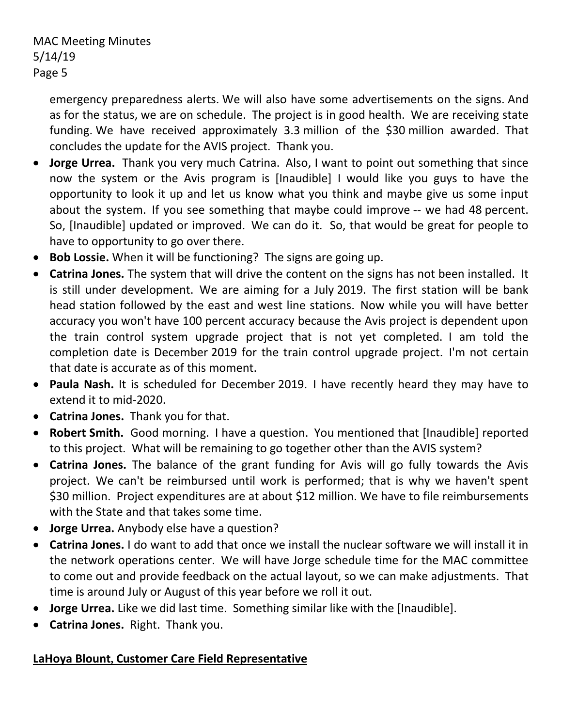emergency preparedness alerts. We will also have some advertisements on the signs. And as for the status, we are on schedule. The project is in good health. We are receiving state funding. We have received approximately 3.3 million of the \$30 million awarded. That concludes the update for the AVIS project. Thank you.

- **Jorge Urrea.** Thank you very much Catrina. Also, I want to point out something that since now the system or the Avis program is [Inaudible] I would like you guys to have the opportunity to look it up and let us know what you think and maybe give us some input about the system. If you see something that maybe could improve -- we had 48 percent. So, [Inaudible] updated or improved. We can do it. So, that would be great for people to have to opportunity to go over there.
- **Bob Lossie.** When it will be functioning? The signs are going up.
- **Catrina Jones.** The system that will drive the content on the signs has not been installed. It is still under development. We are aiming for a July 2019. The first station will be bank head station followed by the east and west line stations. Now while you will have better accuracy you won't have 100 percent accuracy because the Avis project is dependent upon the train control system upgrade project that is not yet completed. I am told the completion date is December 2019 for the train control upgrade project. I'm not certain that date is accurate as of this moment.
- **Paula Nash.** It is scheduled for December 2019. I have recently heard they may have to extend it to mid-2020.
- **Catrina Jones.** Thank you for that.
- **Robert Smith.** Good morning. I have a question. You mentioned that [Inaudible] reported to this project. What will be remaining to go together other than the AVIS system?
- **Catrina Jones.** The balance of the grant funding for Avis will go fully towards the Avis project. We can't be reimbursed until work is performed; that is why we haven't spent \$30 million. Project expenditures are at about \$12 million. We have to file reimbursements with the State and that takes some time.
- **Jorge Urrea.** Anybody else have a question?
- **Catrina Jones.** I do want to add that once we install the nuclear software we will install it in the network operations center. We will have Jorge schedule time for the MAC committee to come out and provide feedback on the actual layout, so we can make adjustments. That time is around July or August of this year before we roll it out.
- **Jorge Urrea.** Like we did last time. Something similar like with the [Inaudible].
- **Catrina Jones.** Right. Thank you.

## **LaHoya Blount, Customer Care Field Representative**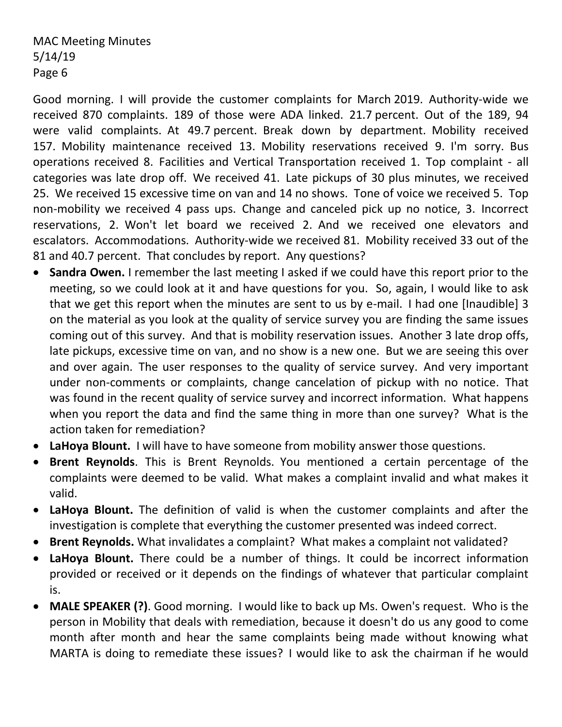Good morning. I will provide the customer complaints for March 2019. Authority-wide we received 870 complaints. 189 of those were ADA linked. 21.7 percent. Out of the 189, 94 were valid complaints. At 49.7 percent. Break down by department. Mobility received 157. Mobility maintenance received 13. Mobility reservations received 9. I'm sorry. Bus operations received 8. Facilities and Vertical Transportation received 1. Top complaint - all categories was late drop off. We received 41. Late pickups of 30 plus minutes, we received 25. We received 15 excessive time on van and 14 no shows. Tone of voice we received 5. Top non-mobility we received 4 pass ups. Change and canceled pick up no notice, 3. Incorrect reservations, 2. Won't let board we received 2. And we received one elevators and escalators. Accommodations. Authority-wide we received 81. Mobility received 33 out of the 81 and 40.7 percent. That concludes by report. Any questions?

- **Sandra Owen.** I remember the last meeting I asked if we could have this report prior to the meeting, so we could look at it and have questions for you. So, again, I would like to ask that we get this report when the minutes are sent to us by e-mail. I had one [Inaudible] 3 on the material as you look at the quality of service survey you are finding the same issues coming out of this survey. And that is mobility reservation issues. Another 3 late drop offs, late pickups, excessive time on van, and no show is a new one. But we are seeing this over and over again. The user responses to the quality of service survey. And very important under non-comments or complaints, change cancelation of pickup with no notice. That was found in the recent quality of service survey and incorrect information. What happens when you report the data and find the same thing in more than one survey? What is the action taken for remediation?
- **LaHoya Blount.** I will have to have someone from mobility answer those questions.
- **Brent Reynolds**. This is Brent Reynolds. You mentioned a certain percentage of the complaints were deemed to be valid. What makes a complaint invalid and what makes it valid.
- **LaHoya Blount.** The definition of valid is when the customer complaints and after the investigation is complete that everything the customer presented was indeed correct.
- **Brent Reynolds.** What invalidates a complaint? What makes a complaint not validated?
- **LaHoya Blount.** There could be a number of things. It could be incorrect information provided or received or it depends on the findings of whatever that particular complaint is.
- **MALE SPEAKER (?)**. Good morning. I would like to back up Ms. Owen's request. Who is the person in Mobility that deals with remediation, because it doesn't do us any good to come month after month and hear the same complaints being made without knowing what MARTA is doing to remediate these issues? I would like to ask the chairman if he would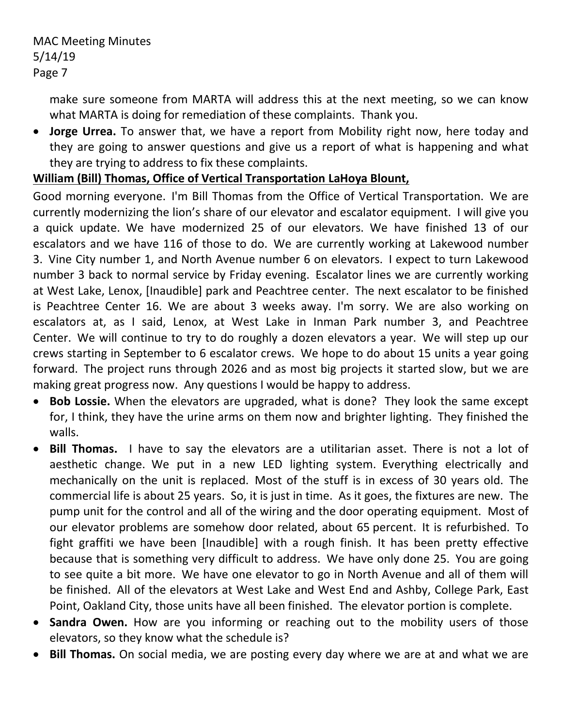make sure someone from MARTA will address this at the next meeting, so we can know what MARTA is doing for remediation of these complaints. Thank you.

 **Jorge Urrea.** To answer that, we have a report from Mobility right now, here today and they are going to answer questions and give us a report of what is happening and what they are trying to address to fix these complaints.

## **William (Bill) Thomas, Office of Vertical Transportation LaHoya Blount,**

Good morning everyone. I'm Bill Thomas from the Office of Vertical Transportation. We are currently modernizing the lion's share of our elevator and escalator equipment. I will give you a quick update. We have modernized 25 of our elevators. We have finished 13 of our escalators and we have 116 of those to do. We are currently working at Lakewood number 3. Vine City number 1, and North Avenue number 6 on elevators. I expect to turn Lakewood number 3 back to normal service by Friday evening. Escalator lines we are currently working at West Lake, Lenox, [Inaudible] park and Peachtree center. The next escalator to be finished is Peachtree Center 16. We are about 3 weeks away. I'm sorry. We are also working on escalators at, as I said, Lenox, at West Lake in Inman Park number 3, and Peachtree Center. We will continue to try to do roughly a dozen elevators a year. We will step up our crews starting in September to 6 escalator crews. We hope to do about 15 units a year going forward. The project runs through 2026 and as most big projects it started slow, but we are making great progress now. Any questions I would be happy to address.

- **Bob Lossie.** When the elevators are upgraded, what is done? They look the same except for, I think, they have the urine arms on them now and brighter lighting. They finished the walls.
- **Bill Thomas.** I have to say the elevators are a utilitarian asset. There is not a lot of aesthetic change. We put in a new LED lighting system. Everything electrically and mechanically on the unit is replaced. Most of the stuff is in excess of 30 years old. The commercial life is about 25 years. So, it is just in time. As it goes, the fixtures are new. The pump unit for the control and all of the wiring and the door operating equipment. Most of our elevator problems are somehow door related, about 65 percent. It is refurbished. To fight graffiti we have been [Inaudible] with a rough finish. It has been pretty effective because that is something very difficult to address. We have only done 25. You are going to see quite a bit more. We have one elevator to go in North Avenue and all of them will be finished. All of the elevators at West Lake and West End and Ashby, College Park, East Point, Oakland City, those units have all been finished. The elevator portion is complete.
- **Sandra Owen.** How are you informing or reaching out to the mobility users of those elevators, so they know what the schedule is?
- **Bill Thomas.** On social media, we are posting every day where we are at and what we are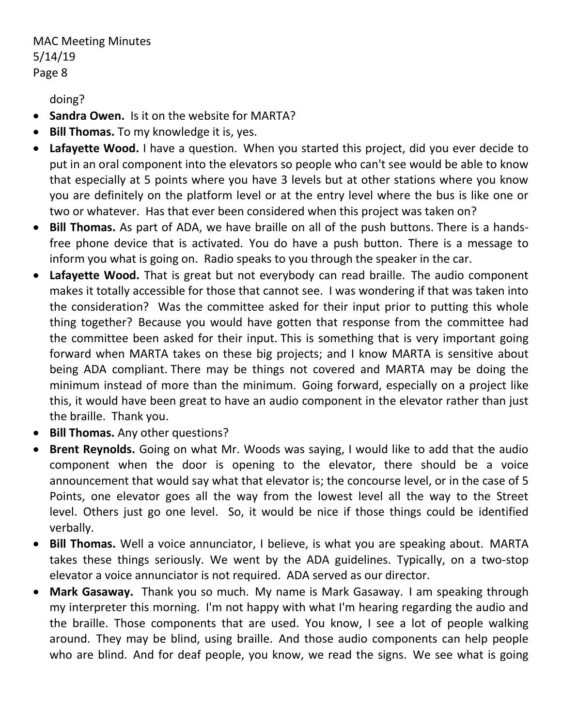doing?

- **Sandra Owen.** Is it on the website for MARTA?
- **Bill Thomas.** To my knowledge it is, yes.
- **Lafayette Wood.** I have a question. When you started this project, did you ever decide to put in an oral component into the elevators so people who can't see would be able to know that especially at 5 points where you have 3 levels but at other stations where you know you are definitely on the platform level or at the entry level where the bus is like one or two or whatever. Has that ever been considered when this project was taken on?
- **Bill Thomas.** As part of ADA, we have braille on all of the push buttons. There is a handsfree phone device that is activated. You do have a push button. There is a message to inform you what is going on. Radio speaks to you through the speaker in the car.
- **Lafayette Wood.** That is great but not everybody can read braille. The audio component makes it totally accessible for those that cannot see. I was wondering if that was taken into the consideration? Was the committee asked for their input prior to putting this whole thing together? Because you would have gotten that response from the committee had the committee been asked for their input. This is something that is very important going forward when MARTA takes on these big projects; and I know MARTA is sensitive about being ADA compliant. There may be things not covered and MARTA may be doing the minimum instead of more than the minimum. Going forward, especially on a project like this, it would have been great to have an audio component in the elevator rather than just the braille. Thank you.
- **Bill Thomas.** Any other questions?
- **Brent Reynolds.** Going on what Mr. Woods was saying, I would like to add that the audio component when the door is opening to the elevator, there should be a voice announcement that would say what that elevator is; the concourse level, or in the case of 5 Points, one elevator goes all the way from the lowest level all the way to the Street level. Others just go one level. So, it would be nice if those things could be identified verbally.
- **Bill Thomas.** Well a voice annunciator, I believe, is what you are speaking about. MARTA takes these things seriously. We went by the ADA guidelines. Typically, on a two-stop elevator a voice annunciator is not required. ADA served as our director.
- **Mark Gasaway.** Thank you so much. My name is Mark Gasaway. I am speaking through my interpreter this morning. I'm not happy with what I'm hearing regarding the audio and the braille. Those components that are used. You know, I see a lot of people walking around. They may be blind, using braille. And those audio components can help people who are blind. And for deaf people, you know, we read the signs. We see what is going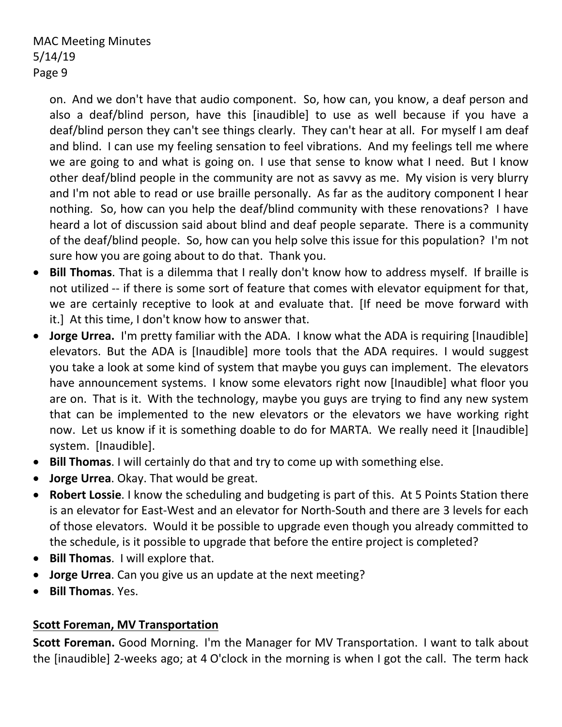on. And we don't have that audio component. So, how can, you know, a deaf person and also a deaf/blind person, have this [inaudible] to use as well because if you have a deaf/blind person they can't see things clearly. They can't hear at all. For myself I am deaf and blind. I can use my feeling sensation to feel vibrations. And my feelings tell me where we are going to and what is going on. I use that sense to know what I need. But I know other deaf/blind people in the community are not as savvy as me. My vision is very blurry and I'm not able to read or use braille personally. As far as the auditory component I hear nothing. So, how can you help the deaf/blind community with these renovations? I have heard a lot of discussion said about blind and deaf people separate. There is a community of the deaf/blind people. So, how can you help solve this issue for this population? I'm not sure how you are going about to do that. Thank you.

- **Bill Thomas**. That is a dilemma that I really don't know how to address myself. If braille is not utilized -- if there is some sort of feature that comes with elevator equipment for that, we are certainly receptive to look at and evaluate that. [If need be move forward with it.] At this time, I don't know how to answer that.
- **Jorge Urrea.** I'm pretty familiar with the ADA. I know what the ADA is requiring [Inaudible] elevators. But the ADA is [Inaudible] more tools that the ADA requires. I would suggest you take a look at some kind of system that maybe you guys can implement. The elevators have announcement systems. I know some elevators right now [Inaudible] what floor you are on. That is it. With the technology, maybe you guys are trying to find any new system that can be implemented to the new elevators or the elevators we have working right now. Let us know if it is something doable to do for MARTA. We really need it [Inaudible] system. [Inaudible].
- **Bill Thomas**. I will certainly do that and try to come up with something else.
- **Jorge Urrea**. Okay. That would be great.
- **Robert Lossie**. I know the scheduling and budgeting is part of this. At 5 Points Station there is an elevator for East-West and an elevator for North-South and there are 3 levels for each of those elevators. Would it be possible to upgrade even though you already committed to the schedule, is it possible to upgrade that before the entire project is completed?
- **Bill Thomas**. I will explore that.
- **Jorge Urrea**. Can you give us an update at the next meeting?
- **Bill Thomas**. Yes.

## **Scott Foreman, MV Transportation**

**Scott Foreman.** Good Morning. I'm the Manager for MV Transportation. I want to talk about the [inaudible] 2-weeks ago; at 4 O'clock in the morning is when I got the call. The term hack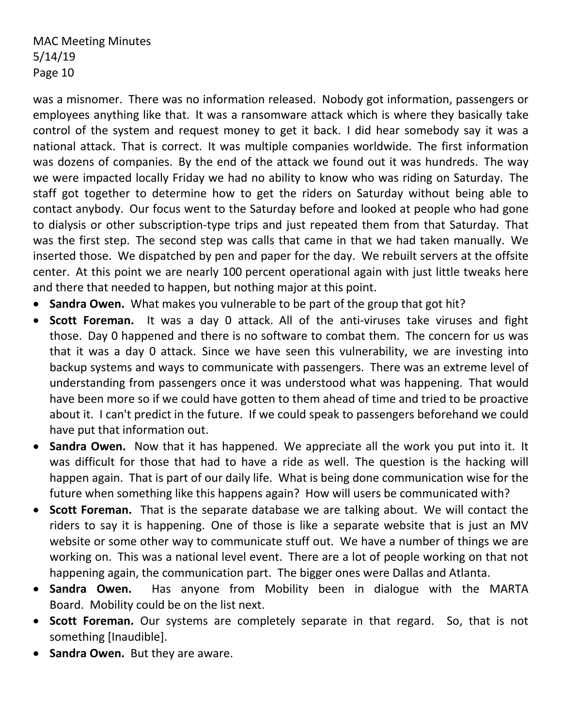was a misnomer. There was no information released. Nobody got information, passengers or employees anything like that. It was a ransomware attack which is where they basically take control of the system and request money to get it back. I did hear somebody say it was a national attack. That is correct. It was multiple companies worldwide. The first information was dozens of companies. By the end of the attack we found out it was hundreds. The way we were impacted locally Friday we had no ability to know who was riding on Saturday. The staff got together to determine how to get the riders on Saturday without being able to contact anybody. Our focus went to the Saturday before and looked at people who had gone to dialysis or other subscription-type trips and just repeated them from that Saturday. That was the first step. The second step was calls that came in that we had taken manually. We inserted those. We dispatched by pen and paper for the day. We rebuilt servers at the offsite center. At this point we are nearly 100 percent operational again with just little tweaks here and there that needed to happen, but nothing major at this point.

- **Sandra Owen.** What makes you vulnerable to be part of the group that got hit?
- **Scott Foreman.** It was a day 0 attack. All of the anti-viruses take viruses and fight those. Day 0 happened and there is no software to combat them. The concern for us was that it was a day 0 attack. Since we have seen this vulnerability, we are investing into backup systems and ways to communicate with passengers. There was an extreme level of understanding from passengers once it was understood what was happening. That would have been more so if we could have gotten to them ahead of time and tried to be proactive about it. I can't predict in the future. If we could speak to passengers beforehand we could have put that information out.
- **Sandra Owen.** Now that it has happened. We appreciate all the work you put into it. It was difficult for those that had to have a ride as well. The question is the hacking will happen again. That is part of our daily life. What is being done communication wise for the future when something like this happens again? How will users be communicated with?
- **Scott Foreman.** That is the separate database we are talking about. We will contact the riders to say it is happening. One of those is like a separate website that is just an MV website or some other way to communicate stuff out. We have a number of things we are working on. This was a national level event. There are a lot of people working on that not happening again, the communication part. The bigger ones were Dallas and Atlanta.
- **Sandra Owen.** Has anyone from Mobility been in dialogue with the MARTA Board. Mobility could be on the list next.
- **Scott Foreman.** Our systems are completely separate in that regard. So, that is not something [Inaudible].
- **Sandra Owen.** But they are aware.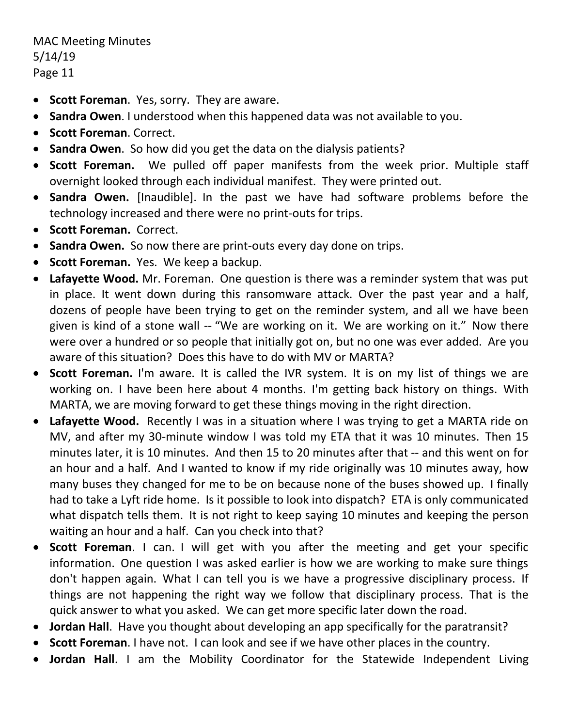- **Scott Foreman**. Yes, sorry. They are aware.
- **Sandra Owen**. I understood when this happened data was not available to you.
- **Scott Foreman**. Correct.
- **Sandra Owen**. So how did you get the data on the dialysis patients?
- **Scott Foreman.** We pulled off paper manifests from the week prior. Multiple staff overnight looked through each individual manifest. They were printed out.
- **Sandra Owen.** [Inaudible]. In the past we have had software problems before the technology increased and there were no print-outs for trips.
- **Scott Foreman.** Correct.
- **Sandra Owen.** So now there are print-outs every day done on trips.
- **Scott Foreman.** Yes. We keep a backup.
- **Lafayette Wood.** Mr. Foreman. One question is there was a reminder system that was put in place. It went down during this ransomware attack. Over the past year and a half, dozens of people have been trying to get on the reminder system, and all we have been given is kind of a stone wall -- "We are working on it. We are working on it." Now there were over a hundred or so people that initially got on, but no one was ever added. Are you aware of this situation? Does this have to do with MV or MARTA?
- **Scott Foreman.** I'm aware. It is called the IVR system. It is on my list of things we are working on. I have been here about 4 months. I'm getting back history on things. With MARTA, we are moving forward to get these things moving in the right direction.
- **Lafayette Wood.** Recently I was in a situation where I was trying to get a MARTA ride on MV, and after my 30-minute window I was told my ETA that it was 10 minutes. Then 15 minutes later, it is 10 minutes. And then 15 to 20 minutes after that -- and this went on for an hour and a half. And I wanted to know if my ride originally was 10 minutes away, how many buses they changed for me to be on because none of the buses showed up. I finally had to take a Lyft ride home. Is it possible to look into dispatch? ETA is only communicated what dispatch tells them. It is not right to keep saying 10 minutes and keeping the person waiting an hour and a half. Can you check into that?
- **Scott Foreman**. I can. I will get with you after the meeting and get your specific information. One question I was asked earlier is how we are working to make sure things don't happen again. What I can tell you is we have a progressive disciplinary process. If things are not happening the right way we follow that disciplinary process. That is the quick answer to what you asked. We can get more specific later down the road.
- **Jordan Hall**. Have you thought about developing an app specifically for the paratransit?
- **Scott Foreman**. I have not. I can look and see if we have other places in the country.
- **Jordan Hall**. I am the Mobility Coordinator for the Statewide Independent Living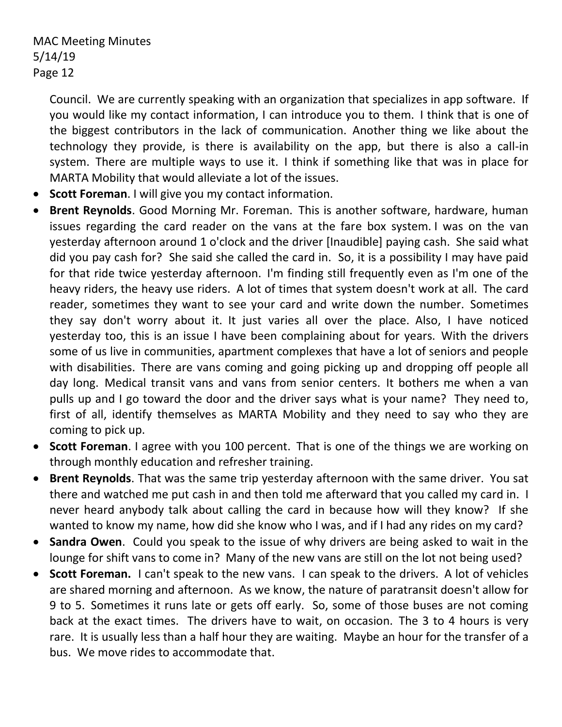Council. We are currently speaking with an organization that specializes in app software. If you would like my contact information, I can introduce you to them. I think that is one of the biggest contributors in the lack of communication. Another thing we like about the technology they provide, is there is availability on the app, but there is also a call-in system. There are multiple ways to use it. I think if something like that was in place for MARTA Mobility that would alleviate a lot of the issues.

- **Scott Foreman**. I will give you my contact information.
- **Brent Reynolds**. Good Morning Mr. Foreman. This is another software, hardware, human issues regarding the card reader on the vans at the fare box system. I was on the van yesterday afternoon around 1 o'clock and the driver [Inaudible] paying cash. She said what did you pay cash for? She said she called the card in. So, it is a possibility I may have paid for that ride twice yesterday afternoon. I'm finding still frequently even as I'm one of the heavy riders, the heavy use riders. A lot of times that system doesn't work at all. The card reader, sometimes they want to see your card and write down the number. Sometimes they say don't worry about it. It just varies all over the place. Also, I have noticed yesterday too, this is an issue I have been complaining about for years. With the drivers some of us live in communities, apartment complexes that have a lot of seniors and people with disabilities. There are vans coming and going picking up and dropping off people all day long. Medical transit vans and vans from senior centers. It bothers me when a van pulls up and I go toward the door and the driver says what is your name? They need to, first of all, identify themselves as MARTA Mobility and they need to say who they are coming to pick up.
- **Scott Foreman**. I agree with you 100 percent. That is one of the things we are working on through monthly education and refresher training.
- **Brent Reynolds**. That was the same trip yesterday afternoon with the same driver. You sat there and watched me put cash in and then told me afterward that you called my card in. I never heard anybody talk about calling the card in because how will they know? If she wanted to know my name, how did she know who I was, and if I had any rides on my card?
- **Sandra Owen**. Could you speak to the issue of why drivers are being asked to wait in the lounge for shift vans to come in? Many of the new vans are still on the lot not being used?
- **Scott Foreman.** I can't speak to the new vans. I can speak to the drivers. A lot of vehicles are shared morning and afternoon. As we know, the nature of paratransit doesn't allow for 9 to 5. Sometimes it runs late or gets off early. So, some of those buses are not coming back at the exact times. The drivers have to wait, on occasion. The 3 to 4 hours is very rare. It is usually less than a half hour they are waiting. Maybe an hour for the transfer of a bus. We move rides to accommodate that.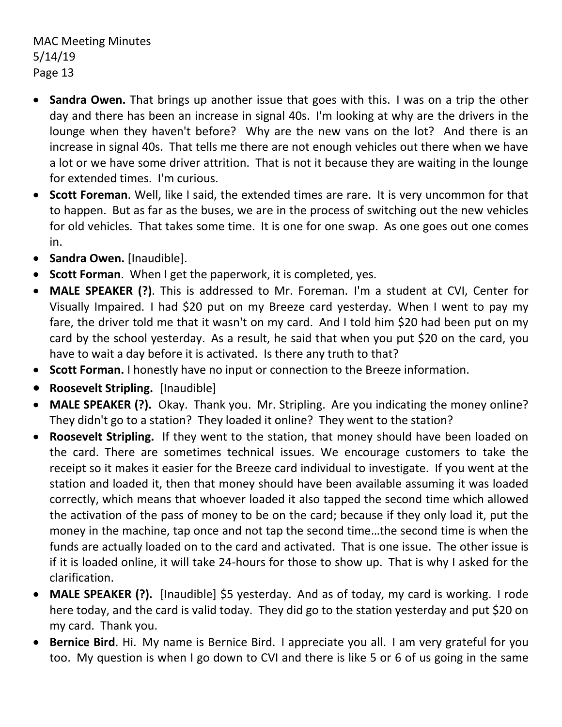- **Sandra Owen.** That brings up another issue that goes with this. I was on a trip the other day and there has been an increase in signal 40s. I'm looking at why are the drivers in the lounge when they haven't before? Why are the new vans on the lot? And there is an increase in signal 40s. That tells me there are not enough vehicles out there when we have a lot or we have some driver attrition. That is not it because they are waiting in the lounge for extended times. I'm curious.
- **Scott Foreman**. Well, like I said, the extended times are rare. It is very uncommon for that to happen. But as far as the buses, we are in the process of switching out the new vehicles for old vehicles. That takes some time. It is one for one swap. As one goes out one comes in.
- **Sandra Owen.** [Inaudible].
- **Scott Forman**. When I get the paperwork, it is completed, yes.
- **MALE SPEAKER (?)**. This is addressed to Mr. Foreman. I'm a student at CVI, Center for Visually Impaired. I had \$20 put on my Breeze card yesterday. When I went to pay my fare, the driver told me that it wasn't on my card. And I told him \$20 had been put on my card by the school yesterday. As a result, he said that when you put \$20 on the card, you have to wait a day before it is activated. Is there any truth to that?
- **Scott Forman.** I honestly have no input or connection to the Breeze information.
- **Roosevelt Stripling.** [Inaudible]
- **MALE SPEAKER (?).** Okay. Thank you. Mr. Stripling. Are you indicating the money online? They didn't go to a station? They loaded it online? They went to the station?
- **Roosevelt Stripling.** If they went to the station, that money should have been loaded on the card. There are sometimes technical issues. We encourage customers to take the receipt so it makes it easier for the Breeze card individual to investigate. If you went at the station and loaded it, then that money should have been available assuming it was loaded correctly, which means that whoever loaded it also tapped the second time which allowed the activation of the pass of money to be on the card; because if they only load it, put the money in the machine, tap once and not tap the second time…the second time is when the funds are actually loaded on to the card and activated. That is one issue. The other issue is if it is loaded online, it will take 24-hours for those to show up. That is why I asked for the clarification.
- **MALE SPEAKER (?).** [Inaudible] \$5 yesterday. And as of today, my card is working. I rode here today, and the card is valid today. They did go to the station yesterday and put \$20 on my card. Thank you.
- **Bernice Bird**. Hi. My name is Bernice Bird. I appreciate you all. I am very grateful for you too. My question is when I go down to CVI and there is like 5 or 6 of us going in the same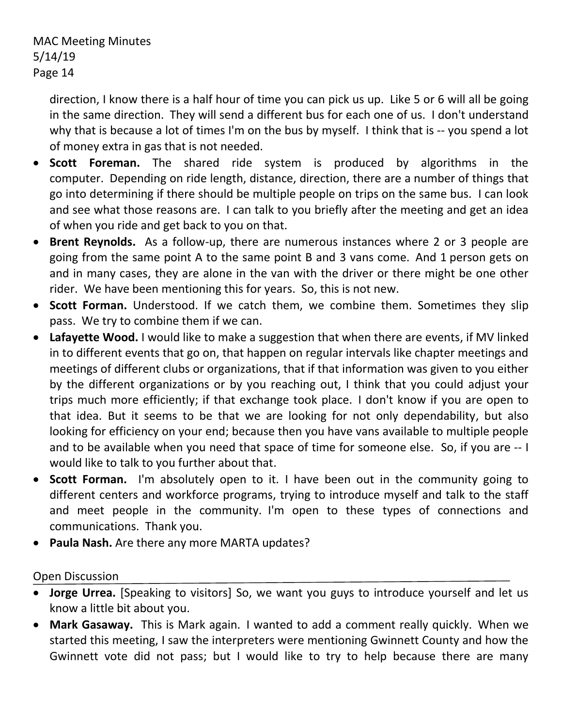direction, I know there is a half hour of time you can pick us up. Like 5 or 6 will all be going in the same direction. They will send a different bus for each one of us. I don't understand why that is because a lot of times I'm on the bus by myself. I think that is -- you spend a lot of money extra in gas that is not needed.

- **Scott Foreman.** The shared ride system is produced by algorithms in the computer. Depending on ride length, distance, direction, there are a number of things that go into determining if there should be multiple people on trips on the same bus. I can look and see what those reasons are. I can talk to you briefly after the meeting and get an idea of when you ride and get back to you on that.
- **Brent Reynolds.** As a follow-up, there are numerous instances where 2 or 3 people are going from the same point A to the same point B and 3 vans come. And 1 person gets on and in many cases, they are alone in the van with the driver or there might be one other rider. We have been mentioning this for years. So, this is not new.
- **Scott Forman.** Understood. If we catch them, we combine them. Sometimes they slip pass. We try to combine them if we can.
- **Lafayette Wood.** I would like to make a suggestion that when there are events, if MV linked in to different events that go on, that happen on regular intervals like chapter meetings and meetings of different clubs or organizations, that if that information was given to you either by the different organizations or by you reaching out, I think that you could adjust your trips much more efficiently; if that exchange took place. I don't know if you are open to that idea. But it seems to be that we are looking for not only dependability, but also looking for efficiency on your end; because then you have vans available to multiple people and to be available when you need that space of time for someone else. So, if you are -- I would like to talk to you further about that.
- **Scott Forman.** I'm absolutely open to it. I have been out in the community going to different centers and workforce programs, trying to introduce myself and talk to the staff and meet people in the community. I'm open to these types of connections and communications. Thank you.
- **Paula Nash.** Are there any more MARTA updates?

## Open Discussion

- **Jorge Urrea.** [Speaking to visitors] So, we want you guys to introduce yourself and let us know a little bit about you.
- **Mark Gasaway.** This is Mark again. I wanted to add a comment really quickly. When we started this meeting, I saw the interpreters were mentioning Gwinnett County and how the Gwinnett vote did not pass; but I would like to try to help because there are many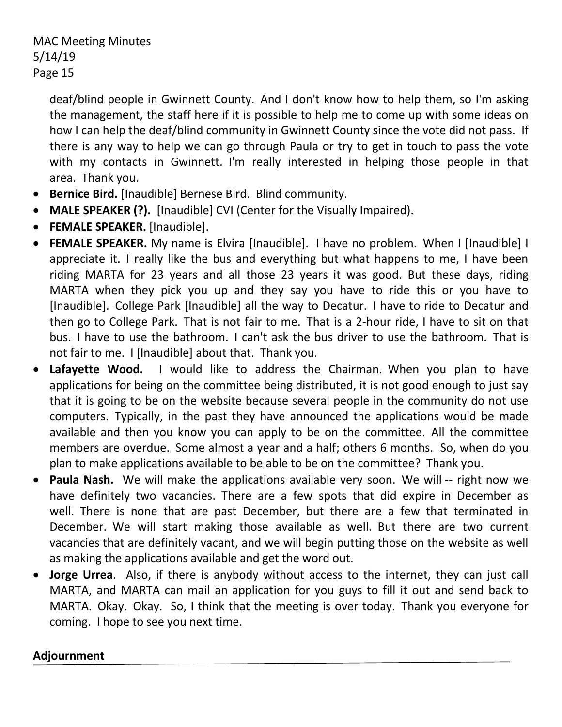deaf/blind people in Gwinnett County. And I don't know how to help them, so I'm asking the management, the staff here if it is possible to help me to come up with some ideas on how I can help the deaf/blind community in Gwinnett County since the vote did not pass. If there is any way to help we can go through Paula or try to get in touch to pass the vote with my contacts in Gwinnett. I'm really interested in helping those people in that area. Thank you.

- **Bernice Bird.** [Inaudible] Bernese Bird. Blind community.
- **MALE SPEAKER (?).** [Inaudible] CVI (Center for the Visually Impaired).
- **FEMALE SPEAKER.** [Inaudible].
- **FEMALE SPEAKER.** My name is Elvira [Inaudible]. I have no problem. When I [Inaudible] I appreciate it. I really like the bus and everything but what happens to me, I have been riding MARTA for 23 years and all those 23 years it was good. But these days, riding MARTA when they pick you up and they say you have to ride this or you have to [Inaudible]. College Park [Inaudible] all the way to Decatur. I have to ride to Decatur and then go to College Park. That is not fair to me. That is a 2-hour ride, I have to sit on that bus. I have to use the bathroom. I can't ask the bus driver to use the bathroom. That is not fair to me. I [Inaudible] about that. Thank you.
- **Lafayette Wood.** I would like to address the Chairman. When you plan to have applications for being on the committee being distributed, it is not good enough to just say that it is going to be on the website because several people in the community do not use computers. Typically, in the past they have announced the applications would be made available and then you know you can apply to be on the committee. All the committee members are overdue. Some almost a year and a half; others 6 months. So, when do you plan to make applications available to be able to be on the committee? Thank you.
- **Paula Nash.** We will make the applications available very soon. We will -- right now we have definitely two vacancies. There are a few spots that did expire in December as well. There is none that are past December, but there are a few that terminated in December. We will start making those available as well. But there are two current vacancies that are definitely vacant, and we will begin putting those on the website as well as making the applications available and get the word out.
- **Jorge Urrea**. Also, if there is anybody without access to the internet, they can just call MARTA, and MARTA can mail an application for you guys to fill it out and send back to MARTA. Okay. Okay. So, I think that the meeting is over today. Thank you everyone for coming. I hope to see you next time.

#### **Adjournment**